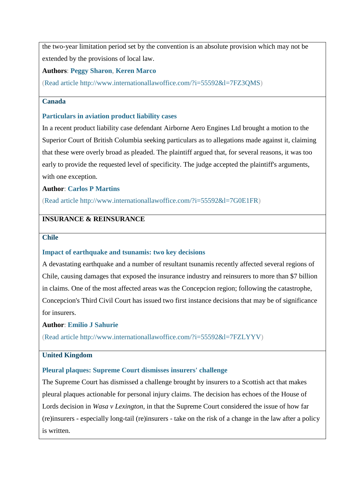# **INSURANCE & REINSURANCE**

## **Chile**

# **[Impact of earthquake and tsunamis: two key decisions](http://www.internationallawoffice.com/?i=55592&l=7FZLYYV)**

A devastating earthquake and a number of resultant tsunamis recently affected several regions of Chile, causing damages that exposed the insurance industry and reinsurers to more than \$7 billion in claims. One of the most affected areas was the Concepcion region; following the catastrophe, Concepcion's Third Civil Court has issued two first instance decisions that may be of significance for insurers.

## **Author**: **[Emilio J Sahurie](http://www.internationallawoffice.com/?i=55592&l=7FZLYZ7)**

[\(Read article](http://www.internationallawoffice.com/?i=55592&l=7FZLYYV) [http://www.internationallawoffice.com/?i=55592&l=7FZLYYV\)](http://www.internationallawoffice.com/?i=55592&l=7FZLYYV)

## **United Kingdom**

# **[Pleural plaques: Supreme Court dismisses insurers' challenge](http://www.internationallawoffice.com/?i=55592&l=7FZLYZK)**

The Supreme Court has dismissed a challenge brought by insurers to a Scottish act that makes pleural plaques actionable for personal injury claims. The decision has echoes of the House of Lords decision in *Wasa v Lexington*, in that the Supreme Court considered the issue of how far (re)insurers - especially long-tail (re)insurers - take on the risk of a change in the law after a policy is written.